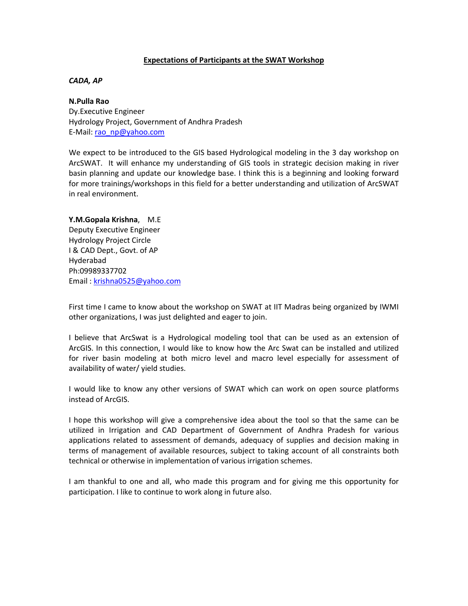## **Expectations of Participants at the SWAT Workshop**

# *CADA, AP*

## **N.Pulla Rao**

Dy.Executive Engineer Hydrology Project, Government of Andhra Pradesh E-Mail: [rao\\_np@yahoo.com](mailto:rao_np@yahoo.com)

We expect to be introduced to the GIS based Hydrological modeling in the 3 day workshop on ArcSWAT. It will enhance my understanding of GIS tools in strategic decision making in river basin planning and update our knowledge base. I think this is a beginning and looking forward for more trainings/workshops in this field for a better understanding and utilization of ArcSWAT in real environment.

**Y.M.Gopala Krishna**, M.E Deputy Executive Engineer Hydrology Project Circle I & CAD Dept., Govt. of AP Hyderabad Ph:09989337702 Email : [krishna0525@yahoo.com](mailto:krishna0525@yahoo.com)

First time I came to know about the workshop on SWAT at IIT Madras being organized by IWMI other organizations, I was just delighted and eager to join.

I believe that ArcSwat is a Hydrological modeling tool that can be used as an extension of ArcGIS. In this connection, I would like to know how the Arc Swat can be installed and utilized for river basin modeling at both micro level and macro level especially for assessment of availability of water/ yield studies.

I would like to know any other versions of SWAT which can work on open source platforms instead of ArcGIS.

I hope this workshop will give a comprehensive idea about the tool so that the same can be utilized in Irrigation and CAD Department of Government of Andhra Pradesh for various applications related to assessment of demands, adequacy of supplies and decision making in terms of management of available resources, subject to taking account of all constraints both technical or otherwise in implementation of various irrigation schemes.

I am thankful to one and all, who made this program and for giving me this opportunity for participation. I like to continue to work along in future also.